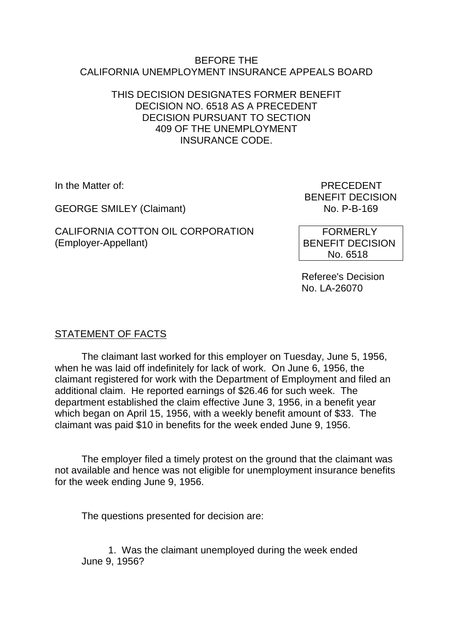#### BEFORE THE CALIFORNIA UNEMPLOYMENT INSURANCE APPEALS BOARD

## THIS DECISION DESIGNATES FORMER BENEFIT DECISION NO. 6518 AS A PRECEDENT DECISION PURSUANT TO SECTION 409 OF THE UNEMPLOYMENT INSURANCE CODE.

**GEORGE SMILEY (Claimant)** 

CALIFORNIA COTTON OIL CORPORATION (Employer-Appellant)

In the Matter of: PRECEDENT BENEFIT DECISION<br>No. P-B-169

> FORMERLY BENEFIT DECISION No. 6518

Referee's Decision No. LA-26070

# STATEMENT OF FACTS

The claimant last worked for this employer on Tuesday, June 5, 1956, when he was laid off indefinitely for lack of work. On June 6, 1956, the claimant registered for work with the Department of Employment and filed an additional claim. He reported earnings of \$26.46 for such week. The department established the claim effective June 3, 1956, in a benefit year which began on April 15, 1956, with a weekly benefit amount of \$33. The claimant was paid \$10 in benefits for the week ended June 9, 1956.

The employer filed a timely protest on the ground that the claimant was not available and hence was not eligible for unemployment insurance benefits for the week ending June 9, 1956.

The questions presented for decision are:

1. Was the claimant unemployed during the week ended June 9, 1956?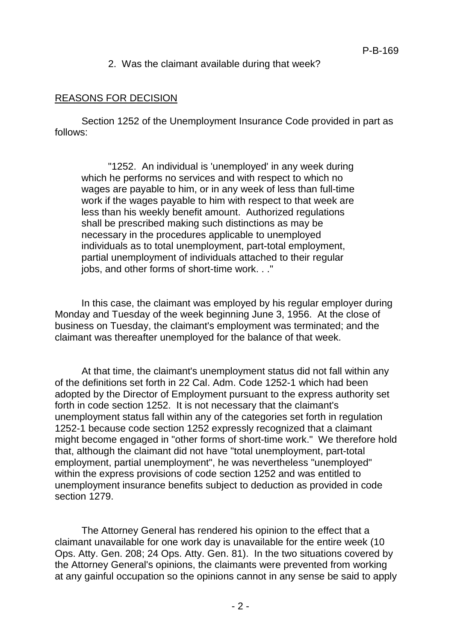### 2. Was the claimant available during that week?

### REASONS FOR DECISION

Section 1252 of the Unemployment Insurance Code provided in part as follows:

"1252. An individual is 'unemployed' in any week during which he performs no services and with respect to which no wages are payable to him, or in any week of less than full-time work if the wages payable to him with respect to that week are less than his weekly benefit amount. Authorized regulations shall be prescribed making such distinctions as may be necessary in the procedures applicable to unemployed individuals as to total unemployment, part-total employment, partial unemployment of individuals attached to their regular jobs, and other forms of short-time work. . ."

In this case, the claimant was employed by his regular employer during Monday and Tuesday of the week beginning June 3, 1956. At the close of business on Tuesday, the claimant's employment was terminated; and the claimant was thereafter unemployed for the balance of that week.

At that time, the claimant's unemployment status did not fall within any of the definitions set forth in 22 Cal. Adm. Code 1252-1 which had been adopted by the Director of Employment pursuant to the express authority set forth in code section 1252. It is not necessary that the claimant's unemployment status fall within any of the categories set forth in regulation 1252-1 because code section 1252 expressly recognized that a claimant might become engaged in "other forms of short-time work." We therefore hold that, although the claimant did not have "total unemployment, part-total employment, partial unemployment", he was nevertheless "unemployed" within the express provisions of code section 1252 and was entitled to unemployment insurance benefits subject to deduction as provided in code section 1279.

The Attorney General has rendered his opinion to the effect that a claimant unavailable for one work day is unavailable for the entire week (10 Ops. Atty. Gen. 208; 24 Ops. Atty. Gen. 81). In the two situations covered by the Attorney General's opinions, the claimants were prevented from working at any gainful occupation so the opinions cannot in any sense be said to apply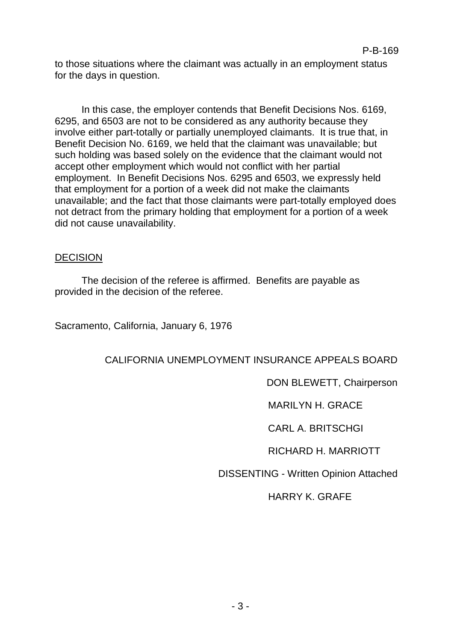to those situations where the claimant was actually in an employment status for the days in question.

In this case, the employer contends that Benefit Decisions Nos. 6169, 6295, and 6503 are not to be considered as any authority because they involve either part-totally or partially unemployed claimants. It is true that, in Benefit Decision No. 6169, we held that the claimant was unavailable; but such holding was based solely on the evidence that the claimant would not accept other employment which would not conflict with her partial employment. In Benefit Decisions Nos. 6295 and 6503, we expressly held that employment for a portion of a week did not make the claimants unavailable; and the fact that those claimants were part-totally employed does not detract from the primary holding that employment for a portion of a week did not cause unavailability.

## DECISION

The decision of the referee is affirmed. Benefits are payable as provided in the decision of the referee.

Sacramento, California, January 6, 1976

# CALIFORNIA UNEMPLOYMENT INSURANCE APPEALS BOARD

DON BLEWETT, Chairperson

MARILYN H. GRACE

CARL A. BRITSCHGI

RICHARD H. MARRIOTT

DISSENTING - Written Opinion Attached

HARRY K. GRAFE